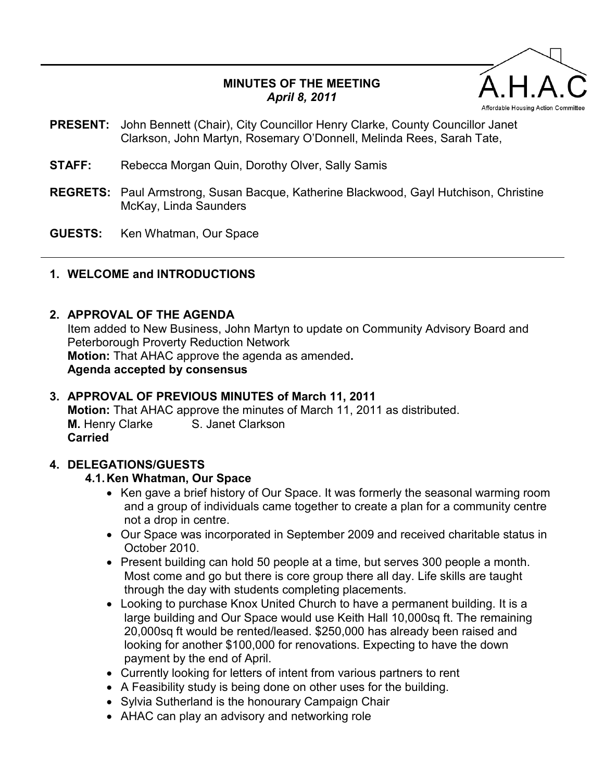## **MINUTES OF THE MEETING**  *April 8, 2011*



- **PRESENT:** John Bennett (Chair), City Councillor Henry Clarke, County Councillor Janet Clarkson, John Martyn, Rosemary O'Donnell, Melinda Rees, Sarah Tate,
- **STAFF:** Rebecca Morgan Quin, Dorothy Olver, Sally Samis
- **REGRETS:** Paul Armstrong, Susan Bacque, Katherine Blackwood, Gayl Hutchison, Christine McKay, Linda Saunders
- **GUESTS:** Ken Whatman, Our Space

## **1. WELCOME and INTRODUCTIONS**

#### **2. APPROVAL OF THE AGENDA**

Item added to New Business, John Martyn to update on Community Advisory Board and Peterborough Proverty Reduction Network **Motion:** That AHAC approve the agenda as amended**. Agenda accepted by consensus** 

# **3. APPROVAL OF PREVIOUS MINUTES of March 11, 2011 Motion:** That AHAC approve the minutes of March 11, 2011 as distributed.

**M.** Henry Clarke S. Janet Clarkson **Carried** 

### **4. DELEGATIONS/GUESTS**

### **4.1. Ken Whatman, Our Space**

- Ken gave a brief history of Our Space. It was formerly the seasonal warming room and a group of individuals came together to create a plan for a community centre not a drop in centre.
- Our Space was incorporated in September 2009 and received charitable status in October 2010.
- Present building can hold 50 people at a time, but serves 300 people a month. Most come and go but there is core group there all day. Life skills are taught through the day with students completing placements.
- Looking to purchase Knox United Church to have a permanent building. It is a large building and Our Space would use Keith Hall 10,000sq ft. The remaining 20,000sq ft would be rented/leased. \$250,000 has already been raised and looking for another \$100,000 for renovations. Expecting to have the down payment by the end of April.
- Currently looking for letters of intent from various partners to rent
- A Feasibility study is being done on other uses for the building.
- Sylvia Sutherland is the honourary Campaign Chair
- AHAC can play an advisory and networking role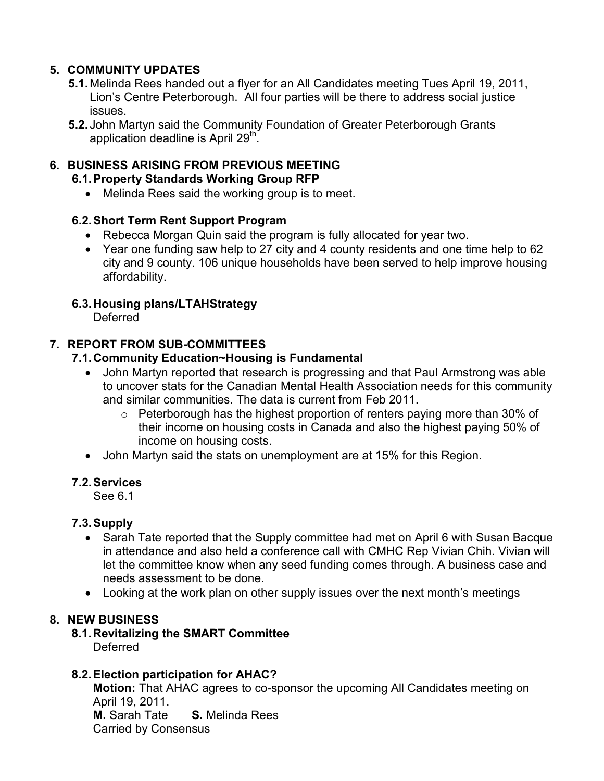## **5. COMMUNITY UPDATES**

- **5.1.** Melinda Rees handed out a flyer for an All Candidates meeting Tues April 19, 2011, Lion's Centre Peterborough. All four parties will be there to address social justice issues.
- **5.2.** John Martyn said the Community Foundation of Greater Peterborough Grants application deadline is April 29<sup>th</sup>.

## **6. BUSINESS ARISING FROM PREVIOUS MEETING**

#### **6.1. Property Standards Working Group RFP**

• Melinda Rees said the working group is to meet.

### **6.2. Short Term Rent Support Program**

- Rebecca Morgan Quin said the program is fully allocated for year two.
- Year one funding saw help to 27 city and 4 county residents and one time help to 62 city and 9 county. 106 unique households have been served to help improve housing affordability.

## **6.3. Housing plans/LTAHStrategy**

Deferred

## **7. REPORT FROM SUB-COMMITTEES**

### **7.1. Community Education~Housing is Fundamental**

- John Martyn reported that research is progressing and that Paul Armstrong was able to uncover stats for the Canadian Mental Health Association needs for this community and similar communities. The data is current from Feb 2011.
	- o Peterborough has the highest proportion of renters paying more than 30% of their income on housing costs in Canada and also the highest paying 50% of income on housing costs.
- John Martyn said the stats on unemployment are at 15% for this Region.

### **7.2. Services**

See 6.1

### **7.3. Supply**

- Sarah Tate reported that the Supply committee had met on April 6 with Susan Bacque in attendance and also held a conference call with CMHC Rep Vivian Chih. Vivian will let the committee know when any seed funding comes through. A business case and needs assessment to be done.
- Looking at the work plan on other supply issues over the next month's meetings

### **8. NEW BUSINESS**

**8.1. Revitalizing the SMART Committee**  Deferred

### **8.2. Election participation for AHAC?**

**Motion:** That AHAC agrees to co-sponsor the upcoming All Candidates meeting on April 19, 2011. **M.** Sarah Tate **S.** Melinda Rees Carried by Consensus